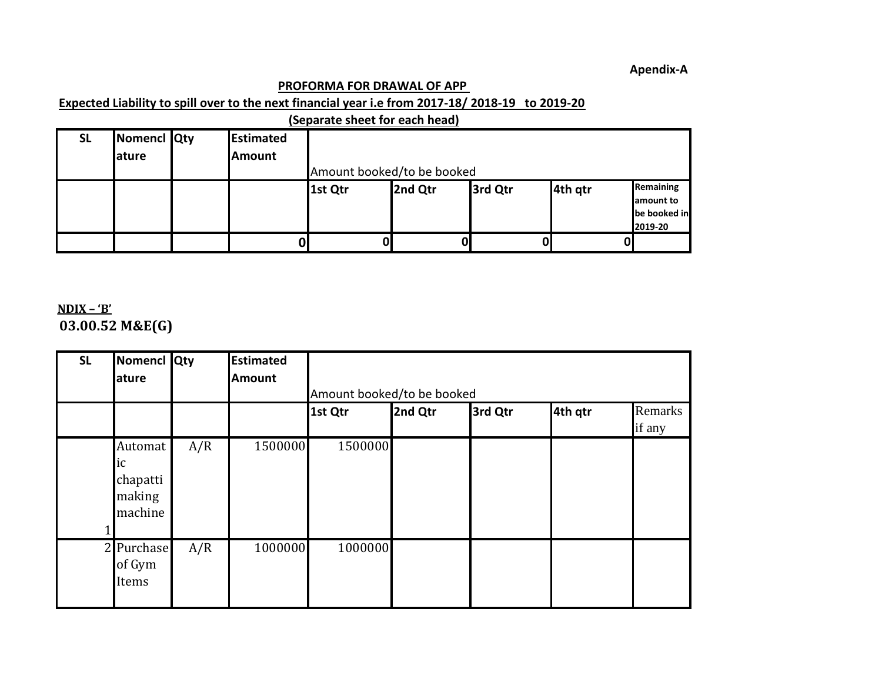## **PROFORMA FOR DRAWAL OF APP**

## **Expected Liability to spill over to the next financial year i.e from 2017-18/ 2018-19 to 2019-20**

|           | (Separate sheet for each head) |  |                  |                            |         |         |         |              |  |  |  |
|-----------|--------------------------------|--|------------------|----------------------------|---------|---------|---------|--------------|--|--|--|
| <b>SL</b> | Nomencl Qty                    |  | <b>Estimated</b> |                            |         |         |         |              |  |  |  |
|           | <b>lature</b>                  |  | <b>Amount</b>    |                            |         |         |         |              |  |  |  |
|           |                                |  |                  | Amount booked/to be booked |         |         |         |              |  |  |  |
|           |                                |  |                  | 1st Qtr                    | 2nd Qtr | 3rd Qtr | 4th gtr | Remaining    |  |  |  |
|           |                                |  |                  |                            |         |         |         | amount to    |  |  |  |
|           |                                |  |                  |                            |         |         |         | be booked in |  |  |  |
|           |                                |  |                  |                            |         |         |         | 2019-20      |  |  |  |
|           |                                |  |                  |                            |         |         |         |              |  |  |  |

**APPENDIX – 'B' 03.00.52 M&E(G)**

| <b>SL</b> | Nomencl Qty<br>ature                           |     | <b>Estimated</b><br><b>Amount</b> |                            |         |         |         |                   |
|-----------|------------------------------------------------|-----|-----------------------------------|----------------------------|---------|---------|---------|-------------------|
|           |                                                |     |                                   | Amount booked/to be booked |         |         |         |                   |
|           |                                                |     |                                   | 1st Qtr                    | 2nd Qtr | 3rd Qtr | 4th qtr | Remarks<br>if any |
|           | Automat<br>ic<br>chapatti<br>making<br>machine | A/R | 1500000                           | 1500000                    |         |         |         |                   |
|           | 2 Purchase<br>of Gym<br>Items                  | A/R | 1000000                           | 1000000                    |         |         |         |                   |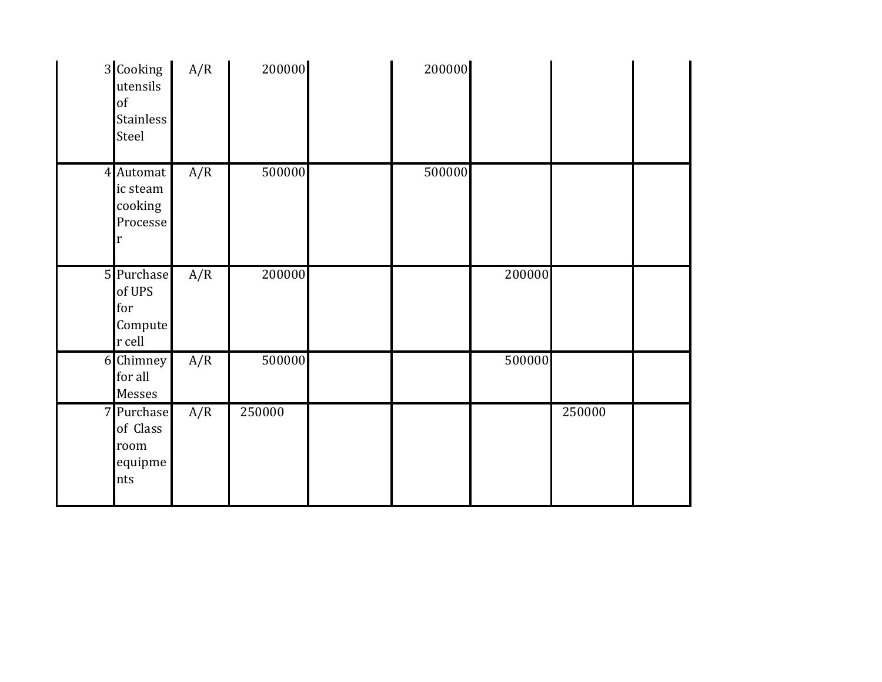| 3 Cooking<br>utensils<br>of<br><b>Stainless</b><br>Steel | A/R | 200000 | 200000 |        |        |  |
|----------------------------------------------------------|-----|--------|--------|--------|--------|--|
| 4 Automat<br>ic steam<br>cooking<br>Processe<br>r        | A/R | 500000 | 500000 |        |        |  |
| 5 Purchase<br>of UPS<br>for<br>Compute<br>r cell         | A/R | 200000 |        | 200000 |        |  |
| 6 Chimney<br>for all<br>Messes                           | A/R | 500000 |        | 500000 |        |  |
| 7 Purchase<br>of Class<br>room<br>equipme<br>nts         | A/R | 250000 |        |        | 250000 |  |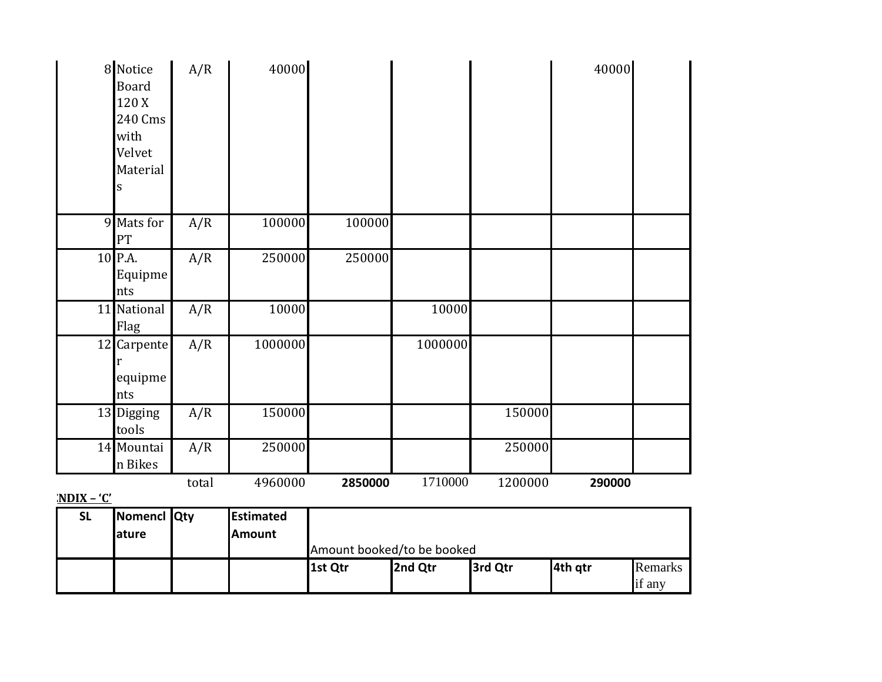|                    | 8 Notice<br><b>Board</b><br>120 X<br>240 Cms<br>with<br>Velvet<br>Material<br>S | A/R   | 40000   |         |         |         | 40000  |  |
|--------------------|---------------------------------------------------------------------------------|-------|---------|---------|---------|---------|--------|--|
|                    | 9 Mats for<br>PT                                                                | A/R   | 100000  | 100000  |         |         |        |  |
|                    | 10 P.A.<br>Equipme<br>nts                                                       | A/R   | 250000  | 250000  |         |         |        |  |
|                    | 11 National<br>Flag                                                             | A/R   | 10000   |         | 10000   |         |        |  |
|                    | 12 Carpente<br>equipme<br>nts                                                   | A/R   | 1000000 |         | 1000000 |         |        |  |
|                    | 13 Digging<br>tools                                                             | A/R   | 150000  |         |         | 150000  |        |  |
|                    | 14 Mountai<br>n Bikes                                                           | A/R   | 250000  |         |         | 250000  |        |  |
| $\omega$<br>'NINIV |                                                                                 | total | 4960000 | 2850000 | 1710000 | 1200000 | 290000 |  |

<u>**APPENDIX – 'C'**</u>

| <b>SL</b> | Nomencl Qty    | <b>Estimated</b> |                            |         |         |         |         |  |
|-----------|----------------|------------------|----------------------------|---------|---------|---------|---------|--|
|           | <b>l</b> ature | <b>Amount</b>    |                            |         |         |         |         |  |
|           |                |                  | Amount booked/to be booked |         |         |         |         |  |
|           |                |                  | 1st Qtr                    | 2nd Qtr | 3rd Qtr | 4th gtr | Remarks |  |
|           |                |                  |                            |         |         |         | if any  |  |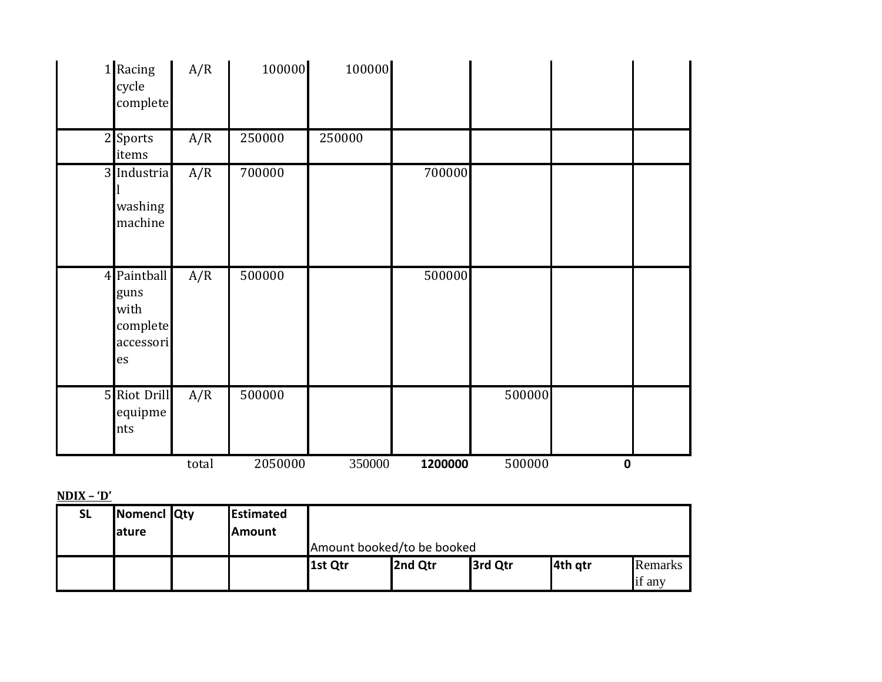| 1 Racing<br>cycle<br>complete                              | A/R   | 100000  | 100000 |         |        |           |  |
|------------------------------------------------------------|-------|---------|--------|---------|--------|-----------|--|
| 2 Sports<br>items                                          | A/R   | 250000  | 250000 |         |        |           |  |
| 3 Industria<br>washing<br>machine                          | A/R   | 700000  |        | 700000  |        |           |  |
| 4 Paintball<br>guns<br>with<br>complete<br>accessori<br>es | A/R   | 500000  |        | 500000  |        |           |  |
| 5 Riot Drill<br>equipme<br>nts                             | A/R   | 500000  |        |         | 500000 |           |  |
|                                                            | total | 2050000 | 350000 | 1200000 | 500000 | $\pmb{0}$ |  |

## $NDIX - 'D'$

| <b>SL</b> | Nomencl Qty<br><b>ature</b> | Estimated<br><b>IAmount</b> |                            |         |         |         |                |  |  |
|-----------|-----------------------------|-----------------------------|----------------------------|---------|---------|---------|----------------|--|--|
|           |                             |                             | Amount booked/to be booked |         |         |         |                |  |  |
|           |                             |                             | 1st Qtr                    | 2nd Qtr | 3rd Qtr | 4th gtr | <b>Remarks</b> |  |  |
|           |                             |                             |                            |         |         |         | if any         |  |  |